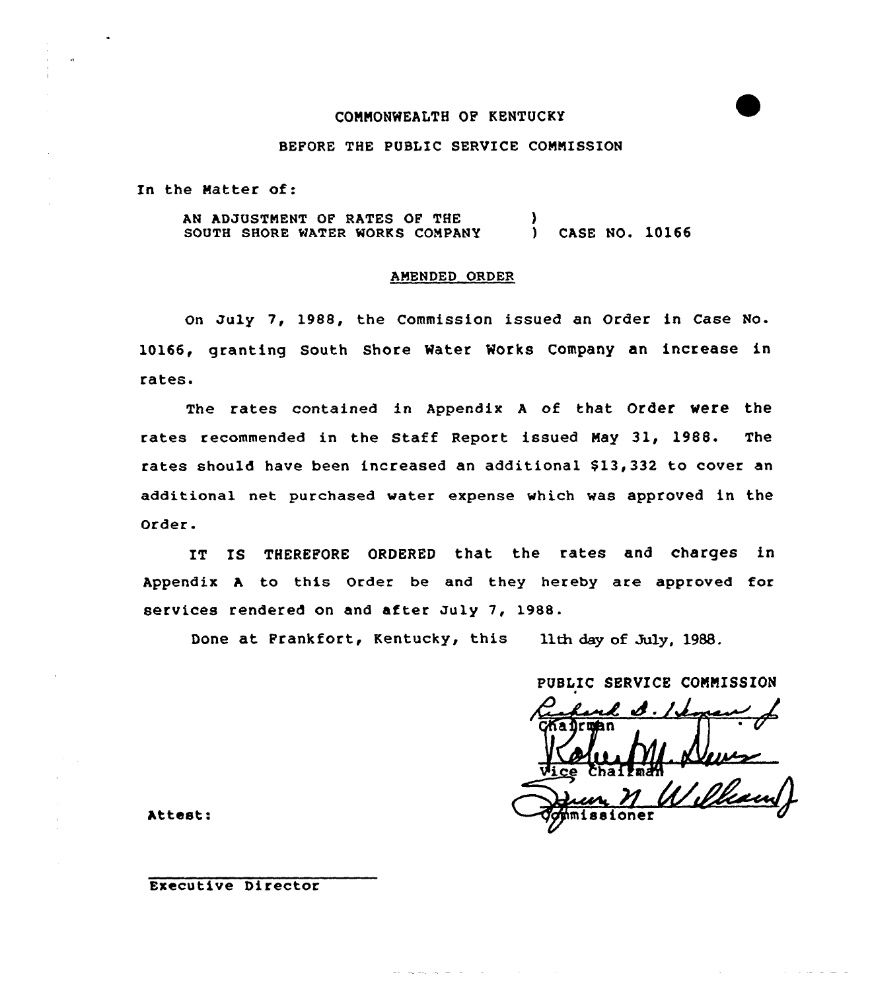## CONNONWEALTH OF KENTUCKY

#### BEFORE THE PUBLIC SERVICE COMMISSION

In the Natter of:

AN ADJUSTMENT OF RATES OF THE SOUTH SHORE WATER WORKS COMPANY ) CASE NO. 10166

#### AMENDED ORDER

On July 7, 1988, the Commission issued an Order in Case No. 10166, granting South Shore Water Works Company an increase in rates.

The rates contained in Appendix A of that Order were the rates recommended in the Staff Report issued Nay 31, 1988. The rates should have been increased an additional \$13,332 to cover an additional net purchased water expense which was approved in the Order.

IT IS THEREFORE ORDERED that the rates and charges in Appendix <sup>A</sup> to this Order be and they hereby are approved for services rendered on and after July 7, 1988.

Done at Frankfort, Kentucky, this 11th day of July, 1988.

PUBLIC SERVICE CONNISS ION Attest:  $\sqrt{q}$ *dimissioner* 

## Executive Director